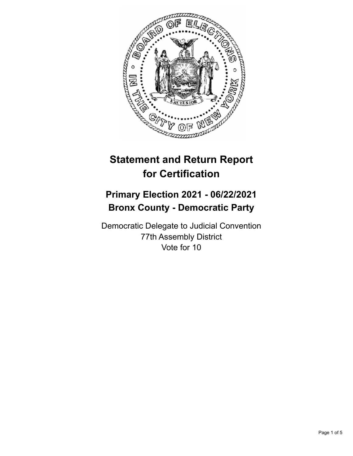

# **Statement and Return Report for Certification**

## **Primary Election 2021 - 06/22/2021 Bronx County - Democratic Party**

Democratic Delegate to Judicial Convention 77th Assembly District Vote for 10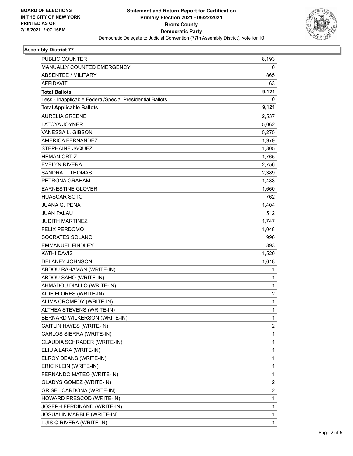

## **Assembly District 77**

| PUBLIC COUNTER                                           | 8,193                   |
|----------------------------------------------------------|-------------------------|
| MANUALLY COUNTED EMERGENCY                               | 0                       |
| <b>ABSENTEE / MILITARY</b>                               | 865                     |
| <b>AFFIDAVIT</b>                                         | 63                      |
| <b>Total Ballots</b>                                     | 9,121                   |
| Less - Inapplicable Federal/Special Presidential Ballots | 0                       |
| <b>Total Applicable Ballots</b>                          | 9,121                   |
| <b>AURELIA GREENE</b>                                    | 2,537                   |
| LATOYA JOYNER                                            | 5,062                   |
| VANESSA L. GIBSON                                        | 5,275                   |
| <b>AMERICA FERNANDEZ</b>                                 | 1,979                   |
| STEPHAINE JAQUEZ                                         | 1,805                   |
| <b>HEMAN ORTIZ</b>                                       | 1,765                   |
| <b>EVELYN RIVERA</b>                                     | 2,756                   |
| SANDRA L. THOMAS                                         | 2,389                   |
| PETRONA GRAHAM                                           | 1,483                   |
| <b>EARNESTINE GLOVER</b>                                 | 1,660                   |
| <b>HUASCAR SOTO</b>                                      | 762                     |
| <b>JUANA G. PENA</b>                                     | 1,404                   |
| <b>JUAN PALAU</b>                                        | 512                     |
| <b>JUDITH MARTINEZ</b>                                   | 1,747                   |
| <b>FELIX PERDOMO</b>                                     | 1,048                   |
| SOCRATES SOLANO                                          | 996                     |
| <b>EMMANUEL FINDLEY</b>                                  | 893                     |
| <b>KATHI DAVIS</b>                                       | 1,520                   |
| DELANEY JOHNSON                                          | 1,618                   |
| ABDOU RAHAMAN (WRITE-IN)                                 | 1                       |
| ABDOU SAHO (WRITE-IN)                                    | 1                       |
| AHMADOU DIALLO (WRITE-IN)                                | $\mathbf{1}$            |
| AIDE FLORES (WRITE-IN)                                   | $\overline{c}$          |
| ALIMA CROMEDY (WRITE-IN)                                 | $\mathbf{1}$            |
| ALTHEA STEVENS (WRITE-IN)                                | 1                       |
| BERNARD WILKERSON (WRITE-IN)                             | $\mathbf{1}$            |
| CAITLIN HAYES (WRITE-IN)                                 | 2                       |
| CARLOS SIERRA (WRITE-IN)                                 | $\mathbf{1}$            |
| CLAUDIA SCHRADER (WRITE-IN)                              | $\mathbf{1}$            |
| ELIU A LARA (WRITE-IN)                                   | 1                       |
| ELROY DEANS (WRITE-IN)                                   | 1                       |
| ERIC KLEIN (WRITE-IN)                                    | 1                       |
| FERNANDO MATEO (WRITE-IN)                                | 1                       |
| <b>GLADYS GOMEZ (WRITE-IN)</b>                           | $\overline{\mathbf{c}}$ |
| <b>GRISEL CARDONA (WRITE-IN)</b>                         | $\overline{\mathbf{c}}$ |
| HOWARD PRESCOD (WRITE-IN)                                | 1                       |
| JOSEPH FERDINAND (WRITE-IN)                              | 1                       |
| JOSUALIN MARBLE (WRITE-IN)                               | 1                       |
| LUIS Q RIVERA (WRITE-IN)                                 | 1                       |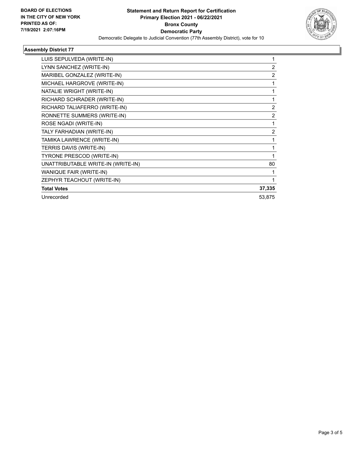

## **Assembly District 77**

| LUIS SEPULVEDA (WRITE-IN)          |                |
|------------------------------------|----------------|
| LYNN SANCHEZ (WRITE-IN)            | 2              |
| MARIBEL GONZALEZ (WRITE-IN)        | $\overline{c}$ |
| MICHAEL HARGROVE (WRITE-IN)        | 1              |
| NATALIE WRIGHT (WRITE-IN)          | 1              |
| RICHARD SCHRADER (WRITE-IN)        | 1              |
| RICHARD TALIAFERRO (WRITE-IN)      | 2              |
| RONNETTE SUMMERS (WRITE-IN)        | $\overline{2}$ |
| ROSE NGADI (WRITE-IN)              | 1              |
| TALY FARHADIAN (WRITE-IN)          | 2              |
| TAMIKA LAWRENCE (WRITE-IN)         |                |
| TERRIS DAVIS (WRITE-IN)            | 1              |
| TYRONE PRESCOD (WRITE-IN)          | 1              |
| UNATTRIBUTABLE WRITE-IN (WRITE-IN) | 80             |
| WANIQUE FAIR (WRITE-IN)            |                |
| ZEPHYR TEACHOUT (WRITE-IN)         |                |
| <b>Total Votes</b>                 | 37,335         |
| Unrecorded                         | 53,875         |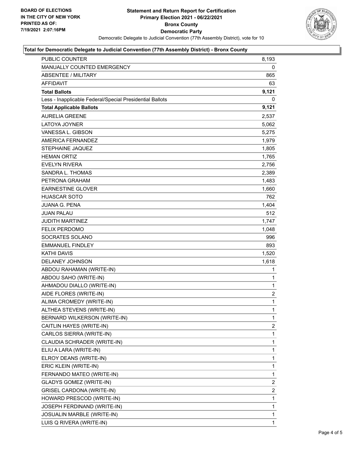

#### **Total for Democratic Delegate to Judicial Convention (77th Assembly District) - Bronx County**

| PUBLIC COUNTER                                           | 8,193          |
|----------------------------------------------------------|----------------|
| <b>MANUALLY COUNTED EMERGENCY</b>                        | 0              |
| <b>ABSENTEE / MILITARY</b>                               | 865            |
| AFFIDAVIT                                                | 63             |
| <b>Total Ballots</b>                                     | 9,121          |
| Less - Inapplicable Federal/Special Presidential Ballots | 0              |
| <b>Total Applicable Ballots</b>                          | 9,121          |
| <b>AURELIA GREENE</b>                                    | 2,537          |
| <b>LATOYA JOYNER</b>                                     | 5,062          |
| VANESSA L. GIBSON                                        | 5,275          |
| AMERICA FERNANDEZ                                        | 1,979          |
| STEPHAINE JAQUEZ                                         | 1,805          |
| <b>HEMAN ORTIZ</b>                                       | 1,765          |
| <b>EVELYN RIVERA</b>                                     | 2,756          |
| SANDRA L. THOMAS                                         | 2,389          |
| PETRONA GRAHAM                                           | 1,483          |
| <b>EARNESTINE GLOVER</b>                                 | 1,660          |
| <b>HUASCAR SOTO</b>                                      | 762            |
| <b>JUANA G. PENA</b>                                     | 1,404          |
| <b>JUAN PALAU</b>                                        | 512            |
| <b>JUDITH MARTINEZ</b>                                   | 1,747          |
| <b>FELIX PERDOMO</b>                                     | 1,048          |
| SOCRATES SOLANO                                          | 996            |
| <b>EMMANUEL FINDLEY</b>                                  | 893            |
| <b>KATHI DAVIS</b>                                       | 1,520          |
| DELANEY JOHNSON                                          | 1,618          |
| ABDOU RAHAMAN (WRITE-IN)                                 | 1              |
| ABDOU SAHO (WRITE-IN)                                    | 1              |
| AHMADOU DIALLO (WRITE-IN)                                | 1              |
| AIDE FLORES (WRITE-IN)                                   | $\overline{c}$ |
| ALIMA CROMEDY (WRITE-IN)                                 | $\mathbf{1}$   |
| ALTHEA STEVENS (WRITE-IN)                                | $\mathbf{1}$   |
| BERNARD WILKERSON (WRITE-IN)                             | 1              |
| CAITLIN HAYES (WRITE-IN)                                 | 2              |
| CARLOS SIERRA (WRITE-IN)                                 | 1              |
| CLAUDIA SCHRADER (WRITE-IN)                              | 1              |
| ELIU A LARA (WRITE-IN)                                   | 1              |
| ELROY DEANS (WRITE-IN)                                   | 1              |
| ERIC KLEIN (WRITE-IN)                                    | 1              |
| FERNANDO MATEO (WRITE-IN)                                | 1              |
| GLADYS GOMEZ (WRITE-IN)                                  | 2              |
| <b>GRISEL CARDONA (WRITE-IN)</b>                         | 2              |
| HOWARD PRESCOD (WRITE-IN)                                | 1              |
| JOSEPH FERDINAND (WRITE-IN)                              | 1              |
| JOSUALIN MARBLE (WRITE-IN)                               | 1              |
| LUIS Q RIVERA (WRITE-IN)                                 | 1              |